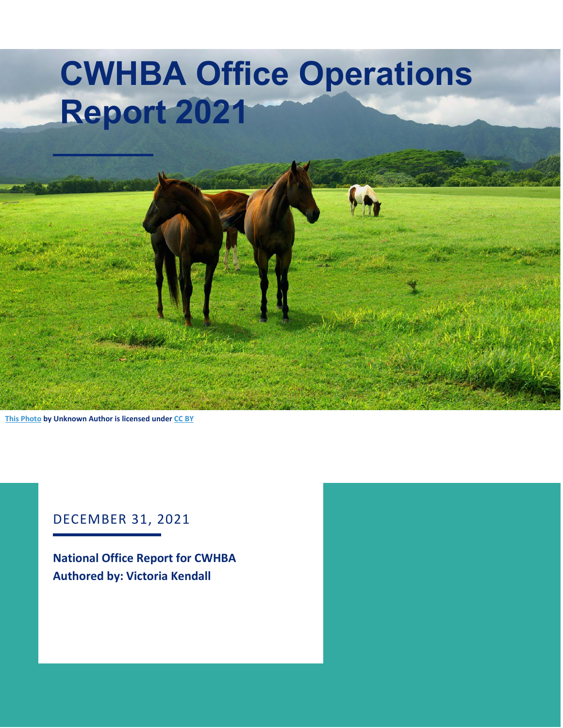# **CWHBA Office Operations Report 2021**

**[This Photo](http://cute-pictures.blogspot.com/2010/12/animals-birds-creatures-wild-life-sea.html) by Unknown Author is licensed unde[r CC BY](https://creativecommons.org/licenses/by/3.0/)**

#### DECEMBER 31, 2021

**National Office Report for CWHBA Authored by: Victoria Kendall**

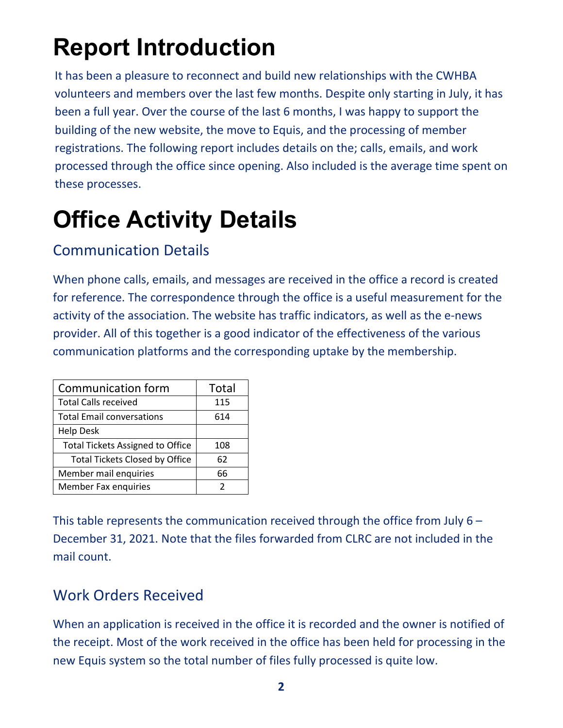### **Report Introduction**

It has been a pleasure to reconnect and build new relationships with the CWHBA volunteers and members over the last few months. Despite only starting in July, it has been a full year. Over the course of the last 6 months, I was happy to support the building of the new website, the move to Equis, and the processing of member registrations. The following report includes details on the; calls, emails, and work processed through the office since opening. Also included is the average time spent on these processes.

## **Office Activity Details**

### Communication Details

When phone calls, emails, and messages are received in the office a record is created for reference. The correspondence through the office is a useful measurement for the activity of the association. The website has traffic indicators, as well as the e-news provider. All of this together is a good indicator of the effectiveness of the various communication platforms and the corresponding uptake by the membership.

| <b>Communication form</b>               | Total |
|-----------------------------------------|-------|
| <b>Total Calls received</b>             | 115   |
| <b>Total Email conversations</b>        | 614   |
| <b>Help Desk</b>                        |       |
| <b>Total Tickets Assigned to Office</b> | 108   |
| <b>Total Tickets Closed by Office</b>   | 62    |
| Member mail enquiries                   | 66    |
| Member Fax enquiries                    |       |

This table represents the communication received through the office from July 6 – December 31, 2021. Note that the files forwarded from CLRC are not included in the mail count.

#### Work Orders Received

When an application is received in the office it is recorded and the owner is notified of the receipt. Most of the work received in the office has been held for processing in the new Equis system so the total number of files fully processed is quite low.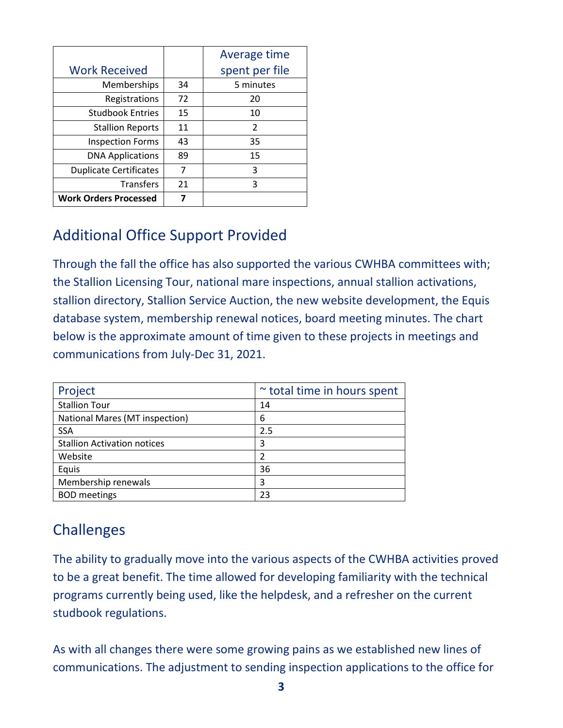|                               |    | Average time   |
|-------------------------------|----|----------------|
| <b>Work Received</b>          |    | spent per file |
| Memberships                   | 34 | 5 minutes      |
| Registrations                 | 72 | 20             |
| <b>Studbook Entries</b>       | 15 | 10             |
| <b>Stallion Reports</b>       | 11 | 2              |
| <b>Inspection Forms</b>       | 43 | 35             |
| <b>DNA Applications</b>       | 89 | 15             |
| <b>Duplicate Certificates</b> | 7  | 3              |
| <b>Transfers</b>              | 21 | 3              |
| <b>Work Orders Processed</b>  | 7  |                |

#### Additional Office Support Provided

Through the fall the office has also supported the various CWHBA committees with; the Stallion Licensing Tour, national mare inspections, annual stallion activations, stallion directory, Stallion Service Auction, the new website development, the Equis database system, membership renewal notices, board meeting minutes. The chart below is the approximate amount of time given to these projects in meetings and communications from July-Dec 31, 2021.

| Project                            | $\sim$ total time in hours spent |
|------------------------------------|----------------------------------|
| <b>Stallion Tour</b>               | 14                               |
| National Mares (MT inspection)     | 6                                |
| <b>SSA</b>                         | 2.5                              |
| <b>Stallion Activation notices</b> | 3                                |
| Website                            | 2                                |
| Equis                              | 36                               |
| Membership renewals                | 3                                |
| <b>BOD</b> meetings                | 23                               |

### **Challenges**

The ability to gradually move into the various aspects of the CWHBA activities proved to be a great benefit. The time allowed for developing familiarity with the technical programs currently being used, like the helpdesk, and a refresher on the current studbook regulations.

As with all changes there were some growing pains as we established new lines of communications. The adjustment to sending inspection applications to the office for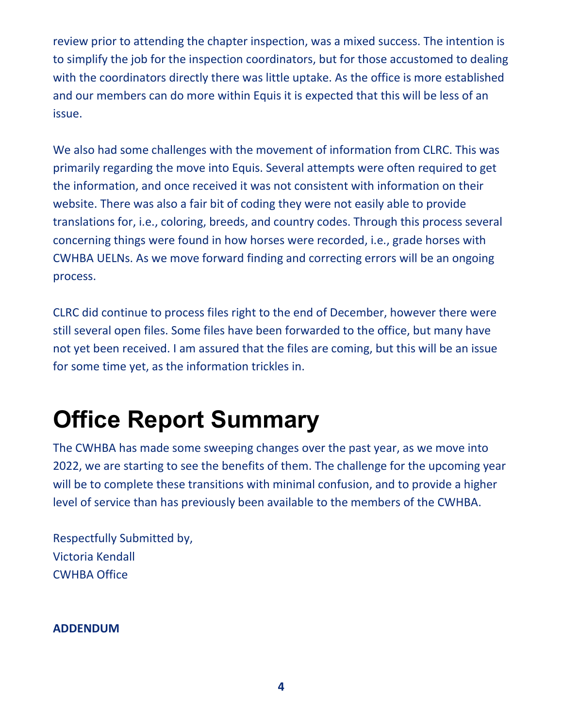review prior to attending the chapter inspection, was a mixed success. The intention is to simplify the job for the inspection coordinators, but for those accustomed to dealing with the coordinators directly there was little uptake. As the office is more established and our members can do more within Equis it is expected that this will be less of an issue.

We also had some challenges with the movement of information from CLRC. This was primarily regarding the move into Equis. Several attempts were often required to get the information, and once received it was not consistent with information on their website. There was also a fair bit of coding they were not easily able to provide translations for, i.e., coloring, breeds, and country codes. Through this process several concerning things were found in how horses were recorded, i.e., grade horses with CWHBA UELNs. As we move forward finding and correcting errors will be an ongoing process.

CLRC did continue to process files right to the end of December, however there were still several open files. Some files have been forwarded to the office, but many have not yet been received. I am assured that the files are coming, but this will be an issue for some time yet, as the information trickles in.

### **Office Report Summary**

The CWHBA has made some sweeping changes over the past year, as we move into 2022, we are starting to see the benefits of them. The challenge for the upcoming year will be to complete these transitions with minimal confusion, and to provide a higher level of service than has previously been available to the members of the CWHBA.

Respectfully Submitted by, Victoria Kendall CWHBA Office

**ADDENDUM**